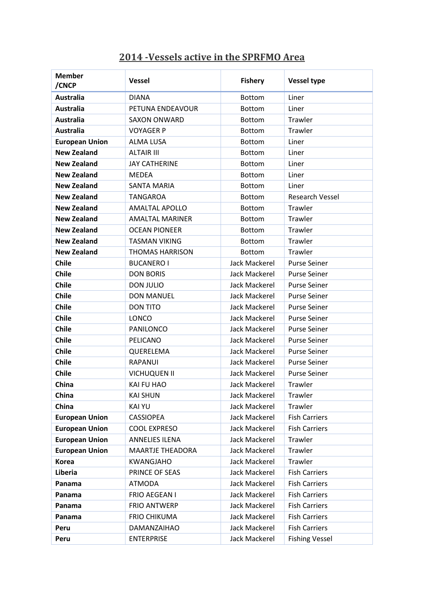## **2014 -Vessels active in the SPRFMO Area**

| <b>Member</b><br>/CNCP | <b>Vessel</b>           | <b>Fishery</b>       | <b>Vessel type</b>     |
|------------------------|-------------------------|----------------------|------------------------|
| <b>Australia</b>       | <b>DIANA</b>            | <b>Bottom</b>        | Liner                  |
| <b>Australia</b>       | PETUNA ENDEAVOUR        | <b>Bottom</b>        | Liner                  |
| <b>Australia</b>       | <b>SAXON ONWARD</b>     | <b>Bottom</b>        | <b>Trawler</b>         |
| <b>Australia</b>       | <b>VOYAGER P</b>        | <b>Bottom</b>        | Trawler                |
| <b>European Union</b>  | <b>ALMA LUSA</b>        | <b>Bottom</b>        | Liner                  |
| <b>New Zealand</b>     | <b>ALTAIR III</b>       | Bottom               | Liner                  |
| <b>New Zealand</b>     | <b>JAY CATHERINE</b>    | <b>Bottom</b>        | Liner                  |
| <b>New Zealand</b>     | <b>MEDEA</b>            | <b>Bottom</b>        | Liner                  |
| <b>New Zealand</b>     | <b>SANTA MARIA</b>      | <b>Bottom</b>        | Liner                  |
| <b>New Zealand</b>     | <b>TANGAROA</b>         | <b>Bottom</b>        | <b>Research Vessel</b> |
| <b>New Zealand</b>     | <b>AMALTAL APOLLO</b>   | <b>Bottom</b>        | Trawler                |
| <b>New Zealand</b>     | <b>AMALTAL MARINER</b>  | <b>Bottom</b>        | <b>Trawler</b>         |
| <b>New Zealand</b>     | <b>OCEAN PIONEER</b>    | <b>Bottom</b>        | Trawler                |
| <b>New Zealand</b>     | <b>TASMAN VIKING</b>    | <b>Bottom</b>        | Trawler                |
| <b>New Zealand</b>     | <b>THOMAS HARRISON</b>  | <b>Bottom</b>        | Trawler                |
| <b>Chile</b>           | <b>BUCANERO I</b>       | <b>Jack Mackerel</b> | <b>Purse Seiner</b>    |
| <b>Chile</b>           | <b>DON BORIS</b>        | Jack Mackerel        | <b>Purse Seiner</b>    |
| <b>Chile</b>           | <b>DON JULIO</b>        | Jack Mackerel        | <b>Purse Seiner</b>    |
| <b>Chile</b>           | <b>DON MANUEL</b>       | Jack Mackerel        | <b>Purse Seiner</b>    |
| <b>Chile</b>           | <b>DON TITO</b>         | Jack Mackerel        | <b>Purse Seiner</b>    |
| <b>Chile</b>           | <b>LONCO</b>            | Jack Mackerel        | <b>Purse Seiner</b>    |
| <b>Chile</b>           | PANILONCO               | Jack Mackerel        | <b>Purse Seiner</b>    |
| <b>Chile</b>           | PELICANO                | Jack Mackerel        | <b>Purse Seiner</b>    |
| <b>Chile</b>           | QUERELEMA               | Jack Mackerel        | <b>Purse Seiner</b>    |
| <b>Chile</b>           | RAPANUI                 | Jack Mackerel        | <b>Purse Seiner</b>    |
| <b>Chile</b>           | <b>VICHUQUEN II</b>     | Jack Mackerel        | <b>Purse Seiner</b>    |
| China                  | KAI FU HAO              | Jack Mackerel        | Trawler                |
| China                  | <b>KAI SHUN</b>         | Jack Mackerel        | Trawler                |
| China                  | <b>KAI YU</b>           | Jack Mackerel        | Trawler                |
| <b>European Union</b>  | <b>CASSIOPEA</b>        | Jack Mackerel        | <b>Fish Carriers</b>   |
| <b>European Union</b>  | <b>COOL EXPRESO</b>     | Jack Mackerel        | <b>Fish Carriers</b>   |
| <b>European Union</b>  | <b>ANNELIES ILENA</b>   | Jack Mackerel        | Trawler                |
| <b>European Union</b>  | <b>MAARTJE THEADORA</b> | Jack Mackerel        | Trawler                |
| <b>Korea</b>           | <b>KWANGJAHO</b>        | Jack Mackerel        | Trawler                |
| Liberia                | PRINCE OF SEAS          | Jack Mackerel        | <b>Fish Carriers</b>   |
| Panama                 | <b>ATMODA</b>           | Jack Mackerel        | <b>Fish Carriers</b>   |
| Panama                 | FRIO AEGEAN I           | Jack Mackerel        | <b>Fish Carriers</b>   |
| Panama                 | <b>FRIO ANTWERP</b>     | Jack Mackerel        | <b>Fish Carriers</b>   |
| Panama                 | <b>FRIO CHIKUMA</b>     | Jack Mackerel        | <b>Fish Carriers</b>   |
| Peru                   | DAMANZAIHAO             | Jack Mackerel        | <b>Fish Carriers</b>   |
| Peru                   | <b>ENTERPRISE</b>       | Jack Mackerel        | <b>Fishing Vessel</b>  |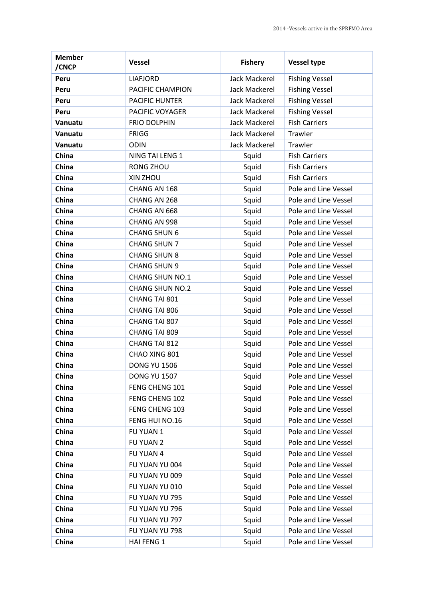| <b>Member</b><br>/CNCP | <b>Vessel</b>          | <b>Fishery</b>       | <b>Vessel type</b>    |
|------------------------|------------------------|----------------------|-----------------------|
| Peru                   | <b>LIAFJORD</b>        | Jack Mackerel        | <b>Fishing Vessel</b> |
| Peru                   | PACIFIC CHAMPION       | <b>Jack Mackerel</b> | <b>Fishing Vessel</b> |
| Peru                   | PACIFIC HUNTER         | Jack Mackerel        | <b>Fishing Vessel</b> |
| Peru                   | PACIFIC VOYAGER        | Jack Mackerel        | <b>Fishing Vessel</b> |
| Vanuatu                | <b>FRIO DOLPHIN</b>    | Jack Mackerel        | <b>Fish Carriers</b>  |
| Vanuatu                | <b>FRIGG</b>           | <b>Jack Mackerel</b> | Trawler               |
| Vanuatu                | <b>ODIN</b>            | Jack Mackerel        | Trawler               |
| China                  | NING TAI LENG 1        | Squid                | <b>Fish Carriers</b>  |
| China                  | RONG ZHOU              | Squid                | <b>Fish Carriers</b>  |
| China                  | XIN ZHOU               | Squid                | <b>Fish Carriers</b>  |
| China                  | CHANG AN 168           | Squid                | Pole and Line Vessel  |
| China                  | CHANG AN 268           | Squid                | Pole and Line Vessel  |
| China                  | CHANG AN 668           | Squid                | Pole and Line Vessel  |
| China                  | CHANG AN 998           | Squid                | Pole and Line Vessel  |
| China                  | <b>CHANG SHUN 6</b>    | Squid                | Pole and Line Vessel  |
| China                  | <b>CHANG SHUN 7</b>    | Squid                | Pole and Line Vessel  |
| China                  | <b>CHANG SHUN 8</b>    | Squid                | Pole and Line Vessel  |
| China                  | <b>CHANG SHUN 9</b>    | Squid                | Pole and Line Vessel  |
| China                  | <b>CHANG SHUN NO.1</b> | Squid                | Pole and Line Vessel  |
| China                  | <b>CHANG SHUN NO.2</b> | Squid                | Pole and Line Vessel  |
| China                  | CHANG TAI 801          | Squid                | Pole and Line Vessel  |
| China                  | CHANG TAI 806          | Squid                | Pole and Line Vessel  |
| China                  | CHANG TAI 807          | Squid                | Pole and Line Vessel  |
| China                  | CHANG TAI 809          | Squid                | Pole and Line Vessel  |
| China                  | CHANG TAI 812          | Squid                | Pole and Line Vessel  |
| China                  | CHAO XING 801          | Squid                | Pole and Line Vessel  |
| China                  | <b>DONG YU 1506</b>    | Squid                | Pole and Line Vessel  |
| China                  | <b>DONG YU 1507</b>    | Squid                | Pole and Line Vessel  |
| China                  | FENG CHENG 101         | Squid                | Pole and Line Vessel  |
| China                  | FENG CHENG 102         | Squid                | Pole and Line Vessel  |
| China                  | FENG CHENG 103         | Squid                | Pole and Line Vessel  |
| China                  | FENG HUI NO.16         | Squid                | Pole and Line Vessel  |
| China                  | FU YUAN 1              | Squid                | Pole and Line Vessel  |
| China                  | FU YUAN 2              | Squid                | Pole and Line Vessel  |
| China                  | FU YUAN 4              | Squid                | Pole and Line Vessel  |
| China                  | FU YUAN YU 004         | Squid                | Pole and Line Vessel  |
| China                  | FU YUAN YU 009         | Squid                | Pole and Line Vessel  |
| China                  | FU YUAN YU 010         | Squid                | Pole and Line Vessel  |
| China                  | FU YUAN YU 795         | Squid                | Pole and Line Vessel  |
| China                  | FU YUAN YU 796         | Squid                | Pole and Line Vessel  |
| China                  | FU YUAN YU 797         | Squid                | Pole and Line Vessel  |
| China                  | FU YUAN YU 798         | Squid                | Pole and Line Vessel  |
| China                  | HAI FENG 1             | Squid                | Pole and Line Vessel  |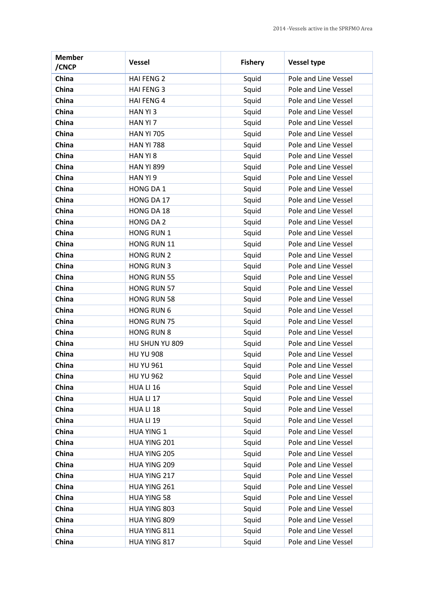| <b>Member</b><br>/CNCP | <b>Vessel</b>      | <b>Fishery</b> | <b>Vessel type</b>   |
|------------------------|--------------------|----------------|----------------------|
| China                  | <b>HAI FENG 2</b>  | Squid          | Pole and Line Vessel |
| China                  | <b>HAI FENG 3</b>  | Squid          | Pole and Line Vessel |
| China                  | <b>HAI FENG 4</b>  | Squid          | Pole and Line Vessel |
| China                  | HAN YI 3           | Squid          | Pole and Line Vessel |
| China                  | HAN YI 7           | Squid          | Pole and Line Vessel |
| China                  | <b>HAN YI 705</b>  | Squid          | Pole and Line Vessel |
| China                  | <b>HAN YI 788</b>  | Squid          | Pole and Line Vessel |
| China                  | HAN YI 8           | Squid          | Pole and Line Vessel |
| China                  | <b>HAN YI 899</b>  | Squid          | Pole and Line Vessel |
| China                  | HAN YI 9           | Squid          | Pole and Line Vessel |
| China                  | HONG DA 1          | Squid          | Pole and Line Vessel |
| China                  | HONG DA 17         | Squid          | Pole and Line Vessel |
| China                  | HONG DA 18         | Squid          | Pole and Line Vessel |
| China                  | <b>HONG DA 2</b>   | Squid          | Pole and Line Vessel |
| China                  | <b>HONG RUN 1</b>  | Squid          | Pole and Line Vessel |
| China                  | HONG RUN 11        | Squid          | Pole and Line Vessel |
| China                  | <b>HONG RUN 2</b>  | Squid          | Pole and Line Vessel |
| China                  | <b>HONG RUN 3</b>  | Squid          | Pole and Line Vessel |
| China                  | <b>HONG RUN 55</b> | Squid          | Pole and Line Vessel |
| China                  | <b>HONG RUN 57</b> | Squid          | Pole and Line Vessel |
| China                  | <b>HONG RUN 58</b> | Squid          | Pole and Line Vessel |
| China                  | <b>HONG RUN 6</b>  | Squid          | Pole and Line Vessel |
| China                  | <b>HONG RUN 75</b> | Squid          | Pole and Line Vessel |
| China                  | <b>HONG RUN 8</b>  | Squid          | Pole and Line Vessel |
| China                  | HU SHUN YU 809     | Squid          | Pole and Line Vessel |
| China                  | <b>HU YU 908</b>   | Squid          | Pole and Line Vessel |
| China                  | <b>HU YU 961</b>   | Squid          | Pole and Line Vessel |
| China                  | <b>HU YU 962</b>   | Squid          | Pole and Line Vessel |
| China                  | HUA LI 16          | Squid          | Pole and Line Vessel |
| China                  | HUA LI 17          | Squid          | Pole and Line Vessel |
| China                  | HUA LI 18          | Squid          | Pole and Line Vessel |
| China                  | <b>HUA LI 19</b>   | Squid          | Pole and Line Vessel |
| China                  | <b>HUA YING 1</b>  | Squid          | Pole and Line Vessel |
| China                  | HUA YING 201       | Squid          | Pole and Line Vessel |
| China                  | HUA YING 205       | Squid          | Pole and Line Vessel |
| China                  | HUA YING 209       | Squid          | Pole and Line Vessel |
| China                  | HUA YING 217       | Squid          | Pole and Line Vessel |
| China                  | HUA YING 261       | Squid          | Pole and Line Vessel |
| China                  | <b>HUA YING 58</b> | Squid          | Pole and Line Vessel |
| China                  | HUA YING 803       | Squid          | Pole and Line Vessel |
| China                  | HUA YING 809       | Squid          | Pole and Line Vessel |
| China                  | HUA YING 811       | Squid          | Pole and Line Vessel |
| China                  | HUA YING 817       | Squid          | Pole and Line Vessel |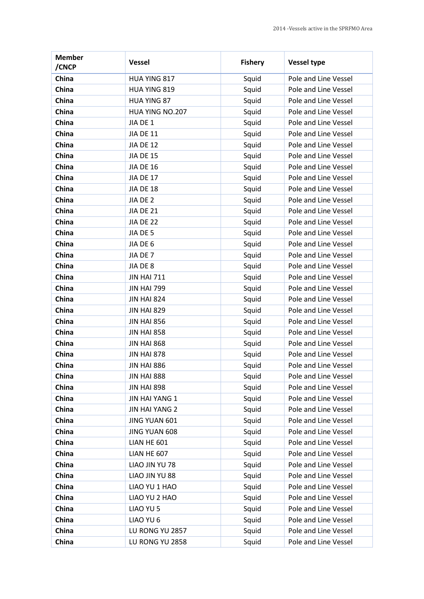| <b>Member</b><br>/CNCP | <b>Vessel</b>         | <b>Fishery</b> | <b>Vessel type</b>   |
|------------------------|-----------------------|----------------|----------------------|
| China                  | HUA YING 817          | Squid          | Pole and Line Vessel |
| China                  | HUA YING 819          | Squid          | Pole and Line Vessel |
| China                  | <b>HUA YING 87</b>    | Squid          | Pole and Line Vessel |
| China                  | HUA YING NO.207       | Squid          | Pole and Line Vessel |
| China                  | JIA DE 1              | Squid          | Pole and Line Vessel |
| China                  | <b>JIA DE 11</b>      | Squid          | Pole and Line Vessel |
| China                  | <b>JIA DE 12</b>      | Squid          | Pole and Line Vessel |
| China                  | <b>JIA DE 15</b>      | Squid          | Pole and Line Vessel |
| China                  | <b>JIA DE 16</b>      | Squid          | Pole and Line Vessel |
| China                  | <b>JIA DE 17</b>      | Squid          | Pole and Line Vessel |
| China                  | JIA DE 18             | Squid          | Pole and Line Vessel |
| China                  | JIA DE 2              | Squid          | Pole and Line Vessel |
| China                  | <b>JIA DE 21</b>      | Squid          | Pole and Line Vessel |
| China                  | JIA DE 22             | Squid          | Pole and Line Vessel |
| China                  | JIA DE 5              | Squid          | Pole and Line Vessel |
| China                  | JIA DE 6              | Squid          | Pole and Line Vessel |
| China                  | JIA DE 7              | Squid          | Pole and Line Vessel |
| China                  | JIA DE 8              | Squid          | Pole and Line Vessel |
| China                  | <b>JIN HAI 711</b>    | Squid          | Pole and Line Vessel |
| China                  | <b>JIN HAI 799</b>    | Squid          | Pole and Line Vessel |
| China                  | <b>JIN HAI 824</b>    | Squid          | Pole and Line Vessel |
| China                  | <b>JIN HAI 829</b>    | Squid          | Pole and Line Vessel |
| China                  | <b>JIN HAI 856</b>    | Squid          | Pole and Line Vessel |
| China                  | <b>JIN HAI 858</b>    | Squid          | Pole and Line Vessel |
| China                  | <b>JIN HAI 868</b>    | Squid          | Pole and Line Vessel |
| China                  | <b>JIN HAI 878</b>    | Squid          | Pole and Line Vessel |
| China                  | <b>JIN HAI 886</b>    | Squid          | Pole and Line Vessel |
| China                  | <b>JIN HAI 888</b>    | Squid          | Pole and Line Vessel |
| China                  | <b>JIN HAI 898</b>    | Squid          | Pole and Line Vessel |
| China                  | JIN HAI YANG 1        | Squid          | Pole and Line Vessel |
| China                  | <b>JIN HAI YANG 2</b> | Squid          | Pole and Line Vessel |
| China                  | JING YUAN 601         | Squid          | Pole and Line Vessel |
| China                  | JING YUAN 608         | Squid          | Pole and Line Vessel |
| China                  | LIAN HE 601           | Squid          | Pole and Line Vessel |
| China                  | LIAN HE 607           | Squid          | Pole and Line Vessel |
| China                  | LIAO JIN YU 78        | Squid          | Pole and Line Vessel |
| China                  | LIAO JIN YU 88        | Squid          | Pole and Line Vessel |
| China                  | LIAO YU 1 HAO         | Squid          | Pole and Line Vessel |
| China                  | LIAO YU 2 HAO         | Squid          | Pole and Line Vessel |
| China                  | LIAO YU 5             | Squid          | Pole and Line Vessel |
| China                  | LIAO YU 6             | Squid          | Pole and Line Vessel |
| China                  | LU RONG YU 2857       | Squid          | Pole and Line Vessel |
| China                  | LU RONG YU 2858       | Squid          | Pole and Line Vessel |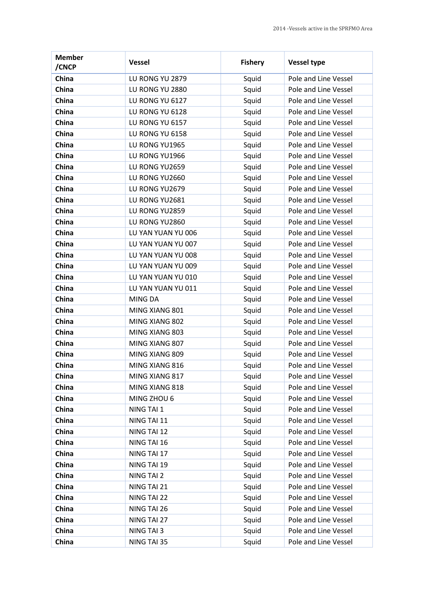| <b>Member</b><br>/CNCP | <b>Vessel</b>      | <b>Fishery</b> | <b>Vessel type</b>   |
|------------------------|--------------------|----------------|----------------------|
| China                  | LU RONG YU 2879    | Squid          | Pole and Line Vessel |
| China                  | LU RONG YU 2880    | Squid          | Pole and Line Vessel |
| China                  | LU RONG YU 6127    | Squid          | Pole and Line Vessel |
| China                  | LU RONG YU 6128    | Squid          | Pole and Line Vessel |
| China                  | LU RONG YU 6157    | Squid          | Pole and Line Vessel |
| China                  | LU RONG YU 6158    | Squid          | Pole and Line Vessel |
| China                  | LU RONG YU1965     | Squid          | Pole and Line Vessel |
| China                  | LU RONG YU1966     | Squid          | Pole and Line Vessel |
| China                  | LU RONG YU2659     | Squid          | Pole and Line Vessel |
| China                  | LU RONG YU2660     | Squid          | Pole and Line Vessel |
| China                  | LU RONG YU2679     | Squid          | Pole and Line Vessel |
| China                  | LU RONG YU2681     | Squid          | Pole and Line Vessel |
| China                  | LU RONG YU2859     | Squid          | Pole and Line Vessel |
| China                  | LU RONG YU2860     | Squid          | Pole and Line Vessel |
| China                  | LU YAN YUAN YU 006 | Squid          | Pole and Line Vessel |
| China                  | LU YAN YUAN YU 007 | Squid          | Pole and Line Vessel |
| China                  | LU YAN YUAN YU 008 | Squid          | Pole and Line Vessel |
| China                  | LU YAN YUAN YU 009 | Squid          | Pole and Line Vessel |
| China                  | LU YAN YUAN YU 010 | Squid          | Pole and Line Vessel |
| China                  | LU YAN YUAN YU 011 | Squid          | Pole and Line Vessel |
| China                  | MING DA            | Squid          | Pole and Line Vessel |
| China                  | MING XIANG 801     | Squid          | Pole and Line Vessel |
| China                  | MING XIANG 802     | Squid          | Pole and Line Vessel |
| China                  | MING XIANG 803     | Squid          | Pole and Line Vessel |
| China                  | MING XIANG 807     | Squid          | Pole and Line Vessel |
| China                  | MING XIANG 809     | Squid          | Pole and Line Vessel |
| China                  | MING XIANG 816     | Squid          | Pole and Line Vessel |
| China                  | MING XIANG 817     | Squid          | Pole and Line Vessel |
| China                  | MING XIANG 818     | Squid          | Pole and Line Vessel |
| China                  | MING ZHOU 6        | Squid          | Pole and Line Vessel |
| China                  | NING TAI 1         | Squid          | Pole and Line Vessel |
| China                  | NING TAI 11        | Squid          | Pole and Line Vessel |
| China                  | NING TAI 12        | Squid          | Pole and Line Vessel |
| China                  | NING TAI 16        | Squid          | Pole and Line Vessel |
| China                  | NING TAI 17        | Squid          | Pole and Line Vessel |
| China                  | NING TAI 19        | Squid          | Pole and Line Vessel |
| China                  | NING TAI 2         | Squid          | Pole and Line Vessel |
| China                  | NING TAI 21        | Squid          | Pole and Line Vessel |
| China                  | NING TAI 22        | Squid          | Pole and Line Vessel |
| China                  | NING TAI 26        | Squid          | Pole and Line Vessel |
| China                  | NING TAI 27        | Squid          | Pole and Line Vessel |
| China                  | NING TAI 3         | Squid          | Pole and Line Vessel |
| China                  | NING TAI 35        | Squid          | Pole and Line Vessel |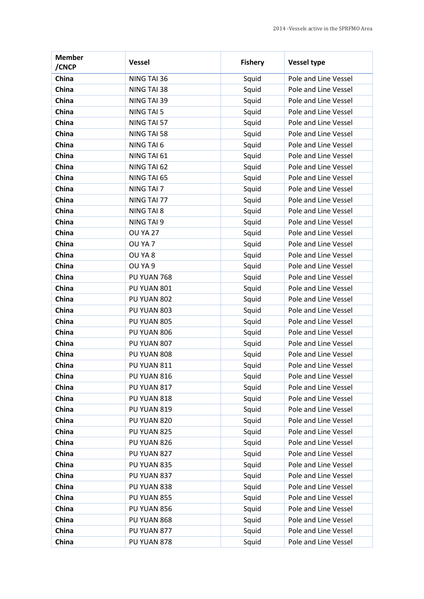| <b>Member</b><br>/CNCP | <b>Vessel</b>     | <b>Fishery</b> | <b>Vessel type</b>   |
|------------------------|-------------------|----------------|----------------------|
| China                  | NING TAI 36       | Squid          | Pole and Line Vessel |
| China                  | NING TAI 38       | Squid          | Pole and Line Vessel |
| China                  | NING TAI 39       | Squid          | Pole and Line Vessel |
| China                  | NING TAI 5        | Squid          | Pole and Line Vessel |
| China                  | NING TAI 57       | Squid          | Pole and Line Vessel |
| China                  | NING TAI 58       | Squid          | Pole and Line Vessel |
| China                  | NING TAI 6        | Squid          | Pole and Line Vessel |
| China                  | NING TAI 61       | Squid          | Pole and Line Vessel |
| China                  | NING TAI 62       | Squid          | Pole and Line Vessel |
| China                  | NING TAI 65       | Squid          | Pole and Line Vessel |
| China                  | NING TAI 7        | Squid          | Pole and Line Vessel |
| China                  | NING TAI 77       | Squid          | Pole and Line Vessel |
| China                  | <b>NING TAI 8</b> | Squid          | Pole and Line Vessel |
| China                  | NING TAI 9        | Squid          | Pole and Line Vessel |
| China                  | <b>OU YA 27</b>   | Squid          | Pole and Line Vessel |
| China                  | OU YA 7           | Squid          | Pole and Line Vessel |
| China                  | OU YA 8           | Squid          | Pole and Line Vessel |
| China                  | OU YA 9           | Squid          | Pole and Line Vessel |
| China                  | PU YUAN 768       | Squid          | Pole and Line Vessel |
| China                  | PU YUAN 801       | Squid          | Pole and Line Vessel |
| China                  | PU YUAN 802       | Squid          | Pole and Line Vessel |
| China                  | PU YUAN 803       | Squid          | Pole and Line Vessel |
| China                  | PU YUAN 805       | Squid          | Pole and Line Vessel |
| China                  | PU YUAN 806       | Squid          | Pole and Line Vessel |
| China                  | PU YUAN 807       | Squid          | Pole and Line Vessel |
| China                  | PU YUAN 808       | Squid          | Pole and Line Vessel |
| China                  | PU YUAN 811       | Squid          | Pole and Line Vessel |
| China                  | PU YUAN 816       | Squid          | Pole and Line Vessel |
| China                  | PU YUAN 817       | Squid          | Pole and Line Vessel |
| China                  | PU YUAN 818       | Squid          | Pole and Line Vessel |
| China                  | PU YUAN 819       | Squid          | Pole and Line Vessel |
| China                  | PU YUAN 820       | Squid          | Pole and Line Vessel |
| China                  | PU YUAN 825       | Squid          | Pole and Line Vessel |
| China                  | PU YUAN 826       | Squid          | Pole and Line Vessel |
| China                  | PU YUAN 827       | Squid          | Pole and Line Vessel |
| China                  | PU YUAN 835       | Squid          | Pole and Line Vessel |
| China                  | PU YUAN 837       | Squid          | Pole and Line Vessel |
| China                  | PU YUAN 838       | Squid          | Pole and Line Vessel |
| China                  | PU YUAN 855       | Squid          | Pole and Line Vessel |
| China                  | PU YUAN 856       | Squid          | Pole and Line Vessel |
| China                  | PU YUAN 868       | Squid          | Pole and Line Vessel |
| China                  | PU YUAN 877       | Squid          | Pole and Line Vessel |
| China                  | PU YUAN 878       | Squid          | Pole and Line Vessel |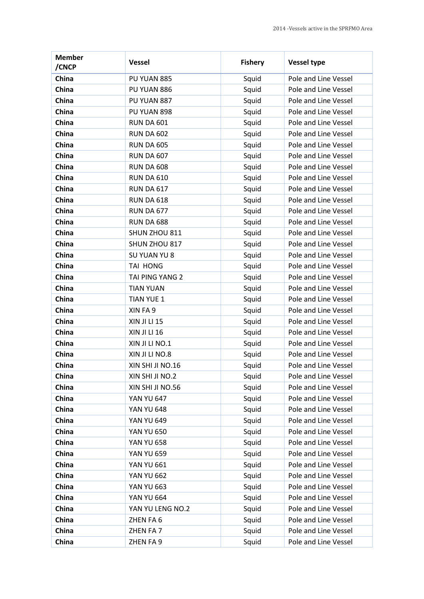| <b>Member</b><br>/CNCP | <b>Vessel</b>       | <b>Fishery</b> | <b>Vessel type</b>   |
|------------------------|---------------------|----------------|----------------------|
| China                  | PU YUAN 885         | Squid          | Pole and Line Vessel |
| China                  | PU YUAN 886         | Squid          | Pole and Line Vessel |
| China                  | PU YUAN 887         | Squid          | Pole and Line Vessel |
| China                  | PU YUAN 898         | Squid          | Pole and Line Vessel |
| China                  | <b>RUN DA 601</b>   | Squid          | Pole and Line Vessel |
| China                  | <b>RUN DA 602</b>   | Squid          | Pole and Line Vessel |
| China                  | <b>RUN DA 605</b>   | Squid          | Pole and Line Vessel |
| China                  | <b>RUN DA 607</b>   | Squid          | Pole and Line Vessel |
| China                  | <b>RUN DA 608</b>   | Squid          | Pole and Line Vessel |
| China                  | <b>RUN DA 610</b>   | Squid          | Pole and Line Vessel |
| China                  | <b>RUN DA 617</b>   | Squid          | Pole and Line Vessel |
| China                  | <b>RUN DA 618</b>   | Squid          | Pole and Line Vessel |
| China                  | <b>RUN DA 677</b>   | Squid          | Pole and Line Vessel |
| China                  | <b>RUN DA 688</b>   | Squid          | Pole and Line Vessel |
| China                  | SHUN ZHOU 811       | Squid          | Pole and Line Vessel |
| China                  | SHUN ZHOU 817       | Squid          | Pole and Line Vessel |
| China                  | SU YUAN YU 8        | Squid          | Pole and Line Vessel |
| China                  | TAI HONG            | Squid          | Pole and Line Vessel |
| China                  | TAI PING YANG 2     | Squid          | Pole and Line Vessel |
| China                  | <b>TIAN YUAN</b>    | Squid          | Pole and Line Vessel |
| China                  | <b>TIAN YUE 1</b>   | Squid          | Pole and Line Vessel |
| China                  | XIN FA 9            | Squid          | Pole and Line Vessel |
| China                  | <b>XIN JI LI 15</b> | Squid          | Pole and Line Vessel |
| China                  | XIN JI LI 16        | Squid          | Pole and Line Vessel |
| China                  | XIN JI LI NO.1      | Squid          | Pole and Line Vessel |
| China                  | XIN JI LI NO.8      | Squid          | Pole and Line Vessel |
| China                  | XIN SHI JI NO.16    | Squid          | Pole and Line Vessel |
| China                  | XIN SHI JI NO.2     | Squid          | Pole and Line Vessel |
| China                  | XIN SHI JI NO.56    | Squid          | Pole and Line Vessel |
| China                  | <b>YAN YU 647</b>   | Squid          | Pole and Line Vessel |
| China                  | <b>YAN YU 648</b>   | Squid          | Pole and Line Vessel |
| China                  | <b>YAN YU 649</b>   | Squid          | Pole and Line Vessel |
| China                  | <b>YAN YU 650</b>   | Squid          | Pole and Line Vessel |
| China                  | <b>YAN YU 658</b>   | Squid          | Pole and Line Vessel |
| China                  | <b>YAN YU 659</b>   | Squid          | Pole and Line Vessel |
| China                  | <b>YAN YU 661</b>   | Squid          | Pole and Line Vessel |
| China                  | <b>YAN YU 662</b>   | Squid          | Pole and Line Vessel |
| China                  | <b>YAN YU 663</b>   | Squid          | Pole and Line Vessel |
| China                  | <b>YAN YU 664</b>   | Squid          | Pole and Line Vessel |
| China                  | YAN YU LENG NO.2    | Squid          | Pole and Line Vessel |
| China                  | ZHEN FA 6           | Squid          | Pole and Line Vessel |
| China                  | ZHEN FA 7           | Squid          | Pole and Line Vessel |
| China                  | ZHEN FA 9           | Squid          | Pole and Line Vessel |